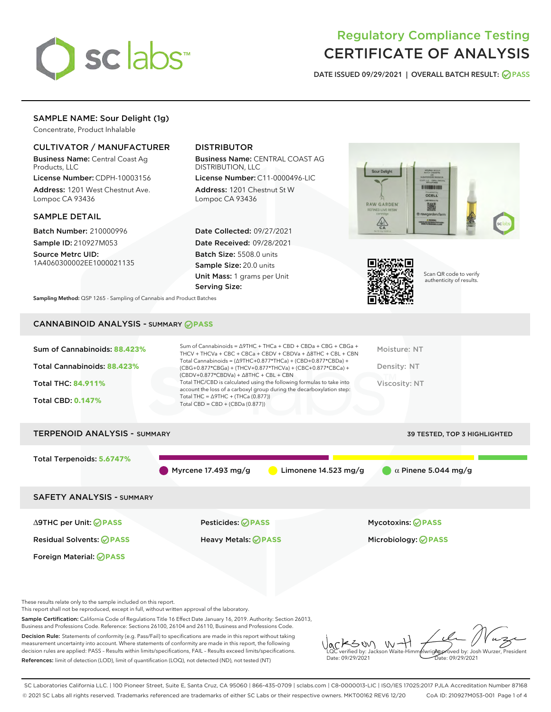

# Regulatory Compliance Testing CERTIFICATE OF ANALYSIS

DATE ISSUED 09/29/2021 | OVERALL BATCH RESULT: @ PASS

# SAMPLE NAME: Sour Delight (1g)

Concentrate, Product Inhalable

### CULTIVATOR / MANUFACTURER

Business Name: Central Coast Ag Products, LLC

License Number: CDPH-10003156 Address: 1201 West Chestnut Ave. Lompoc CA 93436

#### SAMPLE DETAIL

Batch Number: 210000996 Sample ID: 210927M053

Source Metrc UID: 1A4060300002EE1000021135

# DISTRIBUTOR

Business Name: CENTRAL COAST AG DISTRIBUTION, LLC

License Number: C11-0000496-LIC Address: 1201 Chestnut St W Lompoc CA 93436

Date Collected: 09/27/2021 Date Received: 09/28/2021 Batch Size: 5508.0 units Sample Size: 20.0 units Unit Mass: 1 grams per Unit Serving Size:





Scan QR code to verify authenticity of results.

Sampling Method: QSP 1265 - Sampling of Cannabis and Product Batches

# CANNABINOID ANALYSIS - SUMMARY **PASS**

| Sum of Cannabinoids: 88.423%<br>Total Cannabinoids: 88.423%<br><b>Total THC: 84.911%</b><br><b>Total CBD: 0.147%</b> | Sum of Cannabinoids = $\triangle$ 9THC + THCa + CBD + CBDa + CBG + CBGa +<br>THCV + THCVa + CBC + CBCa + CBDV + CBDVa + $\Delta$ 8THC + CBL + CBN<br>Total Cannabinoids = $(\Delta$ 9THC+0.877*THCa) + (CBD+0.877*CBDa) +<br>(CBG+0.877*CBGa) + (THCV+0.877*THCVa) + (CBC+0.877*CBCa) +<br>$(CBDV+0.877*CBDVa) + \Delta 8THC + CBL + CBN$<br>Total THC/CBD is calculated using the following formulas to take into<br>account the loss of a carboxyl group during the decarboxylation step:<br>Total THC = $\triangle$ 9THC + (THCa (0.877))<br>Total CBD = $CBD + (CBDa (0.877))$ | Moisture: NT<br>Density: NT<br>Viscosity: NT           |
|----------------------------------------------------------------------------------------------------------------------|------------------------------------------------------------------------------------------------------------------------------------------------------------------------------------------------------------------------------------------------------------------------------------------------------------------------------------------------------------------------------------------------------------------------------------------------------------------------------------------------------------------------------------------------------------------------------------|--------------------------------------------------------|
| <b>TERPENOID ANALYSIS - SUMMARY</b>                                                                                  |                                                                                                                                                                                                                                                                                                                                                                                                                                                                                                                                                                                    | <b>39 TESTED, TOP 3 HIGHLIGHTED</b>                    |
| Total Terpenoids: 5.6747%                                                                                            | Myrcene $17.493$ mg/g<br>Limonene $14.523$ mg/g                                                                                                                                                                                                                                                                                                                                                                                                                                                                                                                                    | $\alpha$ Pinene 5.044 mg/g                             |
| <b>SAFETY ANALYSIS - SUMMARY</b>                                                                                     |                                                                                                                                                                                                                                                                                                                                                                                                                                                                                                                                                                                    |                                                        |
| $\triangle$ 9THC per Unit: $\odot$ PASS<br><b>Residual Solvents: ⊘PASS</b>                                           | Pesticides: ⊘PASS<br>Heavy Metals: ⊘PASS                                                                                                                                                                                                                                                                                                                                                                                                                                                                                                                                           | <b>Mycotoxins: ⊘PASS</b><br>Microbiology: <b>⊘PASS</b> |

These results relate only to the sample included on this report.

Foreign Material: **PASS**

This report shall not be reproduced, except in full, without written approval of the laboratory.

Sample Certification: California Code of Regulations Title 16 Effect Date January 16, 2019. Authority: Section 26013, Business and Professions Code. Reference: Sections 26100, 26104 and 26110, Business and Professions Code.

Decision Rule: Statements of conformity (e.g. Pass/Fail) to specifications are made in this report without taking measurement uncertainty into account. Where statements of conformity are made in this report, the following decision rules are applied: PASS – Results within limits/specifications, FAIL – Results exceed limits/specifications. References: limit of detection (LOD), limit of quantification (LOQ), not detected (ND), not tested (NT)

 $W + 1$ KSON Approved by: Josh Wurzer, President LQC verified by: Jackson Waite-Himmelwright Date: 09/29/2021 Date: 09/29/2021

SC Laboratories California LLC. | 100 Pioneer Street, Suite E, Santa Cruz, CA 95060 | 866-435-0709 | sclabs.com | C8-0000013-LIC | ISO/IES 17025:2017 PJLA Accreditation Number 87168 © 2021 SC Labs all rights reserved. Trademarks referenced are trademarks of either SC Labs or their respective owners. MKT00162 REV6 12/20 CoA ID: 210927M053-001 Page 1 of 4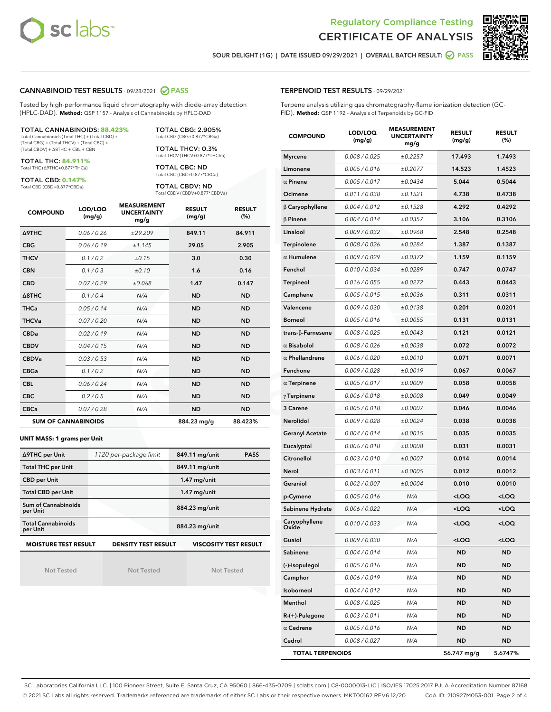



SOUR DELIGHT (1G) | DATE ISSUED 09/29/2021 | OVERALL BATCH RESULT: @ PASS

#### CANNABINOID TEST RESULTS - 09/28/2021 2 PASS

Tested by high-performance liquid chromatography with diode-array detection (HPLC-DAD). **Method:** QSP 1157 - Analysis of Cannabinoids by HPLC-DAD

#### TOTAL CANNABINOIDS: **88.423%**

Total Cannabinoids (Total THC) + (Total CBD) + (Total CBG) + (Total THCV) + (Total CBC) + (Total CBDV) + ∆8THC + CBL + CBN

TOTAL THC: **84.911%** Total THC (∆9THC+0.877\*THCa)

TOTAL CBD: **0.147%**

Total CBD (CBD+0.877\*CBDa)

TOTAL CBG: 2.905% Total CBG (CBG+0.877\*CBGa)

TOTAL THCV: 0.3% Total THCV (THCV+0.877\*THCVa)

TOTAL CBC: ND Total CBC (CBC+0.877\*CBCa)

TOTAL CBDV: ND Total CBDV (CBDV+0.877\*CBDVa)

| <b>COMPOUND</b>            | LOD/LOQ<br>(mg/g) | <b>MEASUREMENT</b><br><b>UNCERTAINTY</b><br>mg/g | <b>RESULT</b><br>(mg/g) | <b>RESULT</b><br>(%) |
|----------------------------|-------------------|--------------------------------------------------|-------------------------|----------------------|
| <b>A9THC</b>               | 0.06 / 0.26       | ±29.209                                          | 849.11                  | 84.911               |
| <b>CBG</b>                 | 0.06/0.19         | ± 1.145                                          | 29.05                   | 2.905                |
| <b>THCV</b>                | 0.1/0.2           | ±0.15                                            | 3.0                     | 0.30                 |
| <b>CBN</b>                 | 0.1/0.3           | ±0.10                                            | 1.6                     | 0.16                 |
| <b>CBD</b>                 | 0.07/0.29         | ±0.068                                           | 1.47                    | 0.147                |
| $\triangle$ 8THC           | 0.1/0.4           | N/A                                              | <b>ND</b>               | <b>ND</b>            |
| <b>THCa</b>                | 0.05/0.14         | N/A                                              | <b>ND</b>               | <b>ND</b>            |
| <b>THCVa</b>               | 0.07/0.20         | N/A                                              | <b>ND</b>               | <b>ND</b>            |
| <b>CBDa</b>                | 0.02/0.19         | N/A                                              | <b>ND</b>               | <b>ND</b>            |
| <b>CBDV</b>                | 0.04 / 0.15       | N/A                                              | <b>ND</b>               | <b>ND</b>            |
| <b>CBDVa</b>               | 0.03/0.53         | N/A                                              | <b>ND</b>               | <b>ND</b>            |
| <b>CBGa</b>                | 0.1/0.2           | N/A                                              | <b>ND</b>               | <b>ND</b>            |
| <b>CBL</b>                 | 0.06 / 0.24       | N/A                                              | <b>ND</b>               | <b>ND</b>            |
| <b>CBC</b>                 | 0.2 / 0.5         | N/A                                              | <b>ND</b>               | <b>ND</b>            |
| <b>CBCa</b>                | 0.07 / 0.28       | N/A                                              | <b>ND</b>               | <b>ND</b>            |
| <b>SUM OF CANNABINOIDS</b> |                   |                                                  | 884.23 mg/g             | 88.423%              |

#### **UNIT MASS: 1 grams per Unit**

| ∆9THC per Unit                        | 1120 per-package limit     | 849.11 mg/unit<br><b>PASS</b> |
|---------------------------------------|----------------------------|-------------------------------|
| <b>Total THC per Unit</b>             |                            | 849.11 mg/unit                |
| <b>CBD per Unit</b>                   |                            | $1.47$ mg/unit                |
| <b>Total CBD per Unit</b>             |                            | $1.47$ mg/unit                |
| Sum of Cannabinoids<br>per Unit       |                            | 884.23 mg/unit                |
| <b>Total Cannabinoids</b><br>per Unit |                            | 884.23 mg/unit                |
| <b>MOISTURE TEST RESULT</b>           | <b>DENSITY TEST RESULT</b> | <b>VISCOSITY TEST RESULT</b>  |

Not Tested

Not Tested

Not Tested

#### TERPENOID TEST RESULTS - 09/29/2021

Terpene analysis utilizing gas chromatography-flame ionization detection (GC-FID). **Method:** QSP 1192 - Analysis of Terpenoids by GC-FID

| <b>COMPOUND</b>         | LOD/LOQ<br>(mg/g) | <b>MEASUREMENT</b><br><b>UNCERTAINTY</b><br>mg/g | <b>RESULT</b><br>(mg/g)                         | <b>RESULT</b><br>(%) |
|-------------------------|-------------------|--------------------------------------------------|-------------------------------------------------|----------------------|
| <b>Myrcene</b>          | 0.008 / 0.025     | ±0.2257                                          | 17.493                                          | 1.7493               |
| Limonene                | 0.005 / 0.016     | ±0.2077                                          | 14.523                                          | 1.4523               |
| $\alpha$ Pinene         | 0.005 / 0.017     | ±0.0434                                          | 5.044                                           | 0.5044               |
| Ocimene                 | 0.011 / 0.038     | ±0.1521                                          | 4.738                                           | 0.4738               |
| $\beta$ Caryophyllene   | 0.004 / 0.012     | ±0.1528                                          | 4.292                                           | 0.4292               |
| $\beta$ Pinene          | 0.004 / 0.014     | ±0.0357                                          | 3.106                                           | 0.3106               |
| Linalool                | 0.009 / 0.032     | ±0.0968                                          | 2.548                                           | 0.2548               |
| Terpinolene             | 0.008 / 0.026     | ±0.0284                                          | 1.387                                           | 0.1387               |
| $\alpha$ Humulene       | 0.009/0.029       | ±0.0372                                          | 1.159                                           | 0.1159               |
| Fenchol                 | 0.010 / 0.034     | ±0.0289                                          | 0.747                                           | 0.0747               |
| Terpineol               | 0.016 / 0.055     | ±0.0272                                          | 0.443                                           | 0.0443               |
| Camphene                | 0.005 / 0.015     | ±0.0036                                          | 0.311                                           | 0.0311               |
| Valencene               | 0.009 / 0.030     | ±0.0138                                          | 0.201                                           | 0.0201               |
| <b>Borneol</b>          | 0.005 / 0.016     | ±0.0055                                          | 0.131                                           | 0.0131               |
| trans-β-Farnesene       | 0.008 / 0.025     | ±0.0043                                          | 0.121                                           | 0.0121               |
| $\alpha$ Bisabolol      | 0.008 / 0.026     | ±0.0038                                          | 0.072                                           | 0.0072               |
| $\alpha$ Phellandrene   | 0.006 / 0.020     | ±0.0010                                          | 0.071                                           | 0.0071               |
| Fenchone                | 0.009 / 0.028     | ±0.0019                                          | 0.067                                           | 0.0067               |
| $\alpha$ Terpinene      | 0.005 / 0.017     | ±0.0009                                          | 0.058                                           | 0.0058               |
| $\gamma$ Terpinene      | 0.006 / 0.018     | ±0.0008                                          | 0.049                                           | 0.0049               |
| 3 Carene                | 0.005 / 0.018     | ±0.0007                                          | 0.046                                           | 0.0046               |
| Nerolidol               | 0.009 / 0.028     | ±0.0024                                          | 0.038                                           | 0.0038               |
| <b>Geranyl Acetate</b>  | 0.004 / 0.014     | ±0.0015                                          | 0.035                                           | 0.0035               |
| Eucalyptol              | 0.006 / 0.018     | ±0.0008                                          | 0.031                                           | 0.0031               |
| Citronellol             | 0.003 / 0.010     | ±0.0007                                          | 0.014                                           | 0.0014               |
| Nerol                   | 0.003 / 0.011     | ±0.0005                                          | 0.012                                           | 0.0012               |
| Geraniol                | 0.002 / 0.007     | ±0.0004                                          | 0.010                                           | 0.0010               |
| p-Cymene                | 0.005 / 0.016     | N/A                                              | <loq< th=""><th><loq< th=""></loq<></th></loq<> | <loq< th=""></loq<>  |
| Sabinene Hydrate        | 0.006 / 0.022     | N/A                                              | <loq< th=""><th><loq< th=""></loq<></th></loq<> | <loq< th=""></loq<>  |
| Caryophyllene<br>ebixC  | 0.010 / 0.033     | N/A                                              | <loq< th=""><th><loq< th=""></loq<></th></loq<> | <loq< th=""></loq<>  |
| Guaiol                  | 0.009 / 0.030     | N/A                                              | <loq< th=""><th><loq< th=""></loq<></th></loq<> | <loq< th=""></loq<>  |
| Sabinene                | 0.004 / 0.014     | N/A                                              | ND                                              | ND                   |
| (-)-Isopulegol          | 0.005 / 0.016     | N/A                                              | ND                                              | <b>ND</b>            |
| Camphor                 | 0.006 / 0.019     | N/A                                              | ND                                              | <b>ND</b>            |
| Isoborneol              | 0.004 / 0.012     | N/A                                              | ND                                              | ND                   |
| Menthol                 | 0.008 / 0.025     | N/A                                              | ND                                              | ND                   |
| R-(+)-Pulegone          | 0.003 / 0.011     | N/A                                              | ND                                              | <b>ND</b>            |
| $\alpha$ Cedrene        | 0.005 / 0.016     | N/A                                              | ND                                              | ND                   |
| Cedrol                  | 0.008 / 0.027     | N/A                                              | ND                                              | ND                   |
| <b>TOTAL TERPENOIDS</b> |                   |                                                  | 56.747 mg/g                                     | 5.6747%              |

SC Laboratories California LLC. | 100 Pioneer Street, Suite E, Santa Cruz, CA 95060 | 866-435-0709 | sclabs.com | C8-0000013-LIC | ISO/IES 17025:2017 PJLA Accreditation Number 87168 © 2021 SC Labs all rights reserved. Trademarks referenced are trademarks of either SC Labs or their respective owners. MKT00162 REV6 12/20 CoA ID: 210927M053-001 Page 2 of 4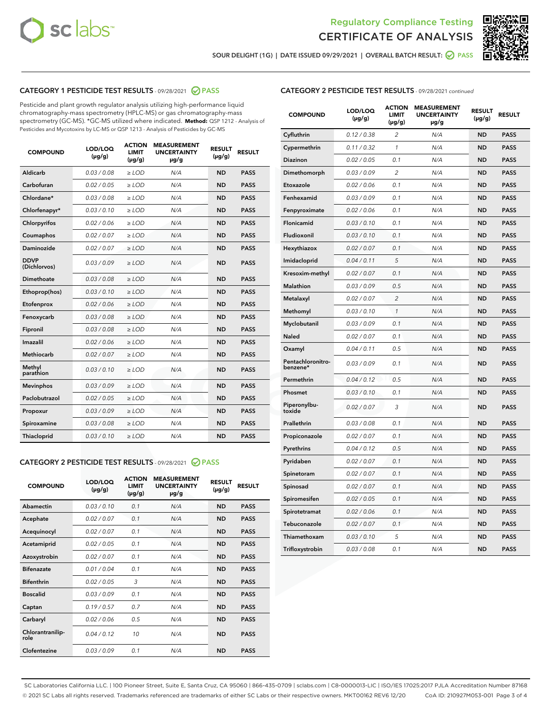



SOUR DELIGHT (1G) | DATE ISSUED 09/29/2021 | OVERALL BATCH RESULT: 2 PASS

# CATEGORY 1 PESTICIDE TEST RESULTS - 09/28/2021 2 PASS

Pesticide and plant growth regulator analysis utilizing high-performance liquid chromatography-mass spectrometry (HPLC-MS) or gas chromatography-mass spectrometry (GC-MS). \*GC-MS utilized where indicated. **Method:** QSP 1212 - Analysis of Pesticides and Mycotoxins by LC-MS or QSP 1213 - Analysis of Pesticides by GC-MS

| <b>COMPOUND</b>             | LOD/LOQ<br>$(\mu g/g)$ | <b>ACTION</b><br><b>LIMIT</b><br>$(\mu g/g)$ | <b>MEASUREMENT</b><br><b>UNCERTAINTY</b><br>µg/g | <b>RESULT</b><br>$(\mu g/g)$ | <b>RESULT</b> |
|-----------------------------|------------------------|----------------------------------------------|--------------------------------------------------|------------------------------|---------------|
| Aldicarb                    | 0.03 / 0.08            | $\geq$ LOD                                   | N/A                                              | <b>ND</b>                    | <b>PASS</b>   |
| Carbofuran                  | 0.02/0.05              | $\ge$ LOD                                    | N/A                                              | <b>ND</b>                    | <b>PASS</b>   |
| Chlordane*                  | 0.03 / 0.08            | $\ge$ LOD                                    | N/A                                              | <b>ND</b>                    | <b>PASS</b>   |
| Chlorfenapyr*               | 0.03/0.10              | $\ge$ LOD                                    | N/A                                              | <b>ND</b>                    | <b>PASS</b>   |
| Chlorpyrifos                | 0.02 / 0.06            | $\ge$ LOD                                    | N/A                                              | <b>ND</b>                    | <b>PASS</b>   |
| Coumaphos                   | 0.02 / 0.07            | $\ge$ LOD                                    | N/A                                              | <b>ND</b>                    | <b>PASS</b>   |
| Daminozide                  | 0.02 / 0.07            | $\ge$ LOD                                    | N/A                                              | <b>ND</b>                    | <b>PASS</b>   |
| <b>DDVP</b><br>(Dichlorvos) | 0.03/0.09              | $\ge$ LOD                                    | N/A                                              | <b>ND</b>                    | <b>PASS</b>   |
| Dimethoate                  | 0.03/0.08              | $\ge$ LOD                                    | N/A                                              | <b>ND</b>                    | <b>PASS</b>   |
| Ethoprop(hos)               | 0.03/0.10              | $\ge$ LOD                                    | N/A                                              | <b>ND</b>                    | <b>PASS</b>   |
| Etofenprox                  | 0.02 / 0.06            | $\ge$ LOD                                    | N/A                                              | <b>ND</b>                    | <b>PASS</b>   |
| Fenoxycarb                  | 0.03/0.08              | $\ge$ LOD                                    | N/A                                              | <b>ND</b>                    | <b>PASS</b>   |
| Fipronil                    | 0.03 / 0.08            | $\ge$ LOD                                    | N/A                                              | <b>ND</b>                    | <b>PASS</b>   |
| Imazalil                    | 0.02 / 0.06            | $\ge$ LOD                                    | N/A                                              | <b>ND</b>                    | <b>PASS</b>   |
| <b>Methiocarb</b>           | 0.02 / 0.07            | $\ge$ LOD                                    | N/A                                              | <b>ND</b>                    | <b>PASS</b>   |
| Methyl<br>parathion         | 0.03/0.10              | $\ge$ LOD                                    | N/A                                              | <b>ND</b>                    | <b>PASS</b>   |
| <b>Mevinphos</b>            | 0.03/0.09              | $\ge$ LOD                                    | N/A                                              | <b>ND</b>                    | <b>PASS</b>   |
| Paclobutrazol               | 0.02 / 0.05            | $\ge$ LOD                                    | N/A                                              | <b>ND</b>                    | <b>PASS</b>   |
| Propoxur                    | 0.03/0.09              | $\ge$ LOD                                    | N/A                                              | <b>ND</b>                    | <b>PASS</b>   |
| Spiroxamine                 | 0.03/0.08              | $\ge$ LOD                                    | N/A                                              | <b>ND</b>                    | <b>PASS</b>   |
| <b>Thiacloprid</b>          | 0.03/0.10              | $\ge$ LOD                                    | N/A                                              | <b>ND</b>                    | <b>PASS</b>   |
|                             |                        |                                              |                                                  |                              |               |

## CATEGORY 2 PESTICIDE TEST RESULTS - 09/28/2021 @ PASS

| <b>COMPOUND</b>          | LOD/LOQ<br>$(\mu g/g)$ | <b>ACTION</b><br><b>LIMIT</b><br>$(\mu g/g)$ | <b>MEASUREMENT</b><br><b>UNCERTAINTY</b><br>µg/g | <b>RESULT</b><br>$(\mu g/g)$ | <b>RESULT</b> |  |
|--------------------------|------------------------|----------------------------------------------|--------------------------------------------------|------------------------------|---------------|--|
| Abamectin                | 0.03/0.10              | 0.1                                          | N/A                                              | <b>ND</b>                    | <b>PASS</b>   |  |
| Acephate                 | 0.02/0.07              | 0.1                                          | N/A                                              | <b>ND</b>                    | <b>PASS</b>   |  |
| Acequinocyl              | 0.02/0.07              | 0.1                                          | N/A                                              | <b>ND</b>                    | <b>PASS</b>   |  |
| Acetamiprid              | 0.02/0.05              | 0.1                                          | N/A                                              | <b>ND</b>                    | <b>PASS</b>   |  |
| Azoxystrobin             | 0.02/0.07              | 0.1                                          | N/A                                              | <b>ND</b>                    | <b>PASS</b>   |  |
| <b>Bifenazate</b>        | 0.01/0.04              | 0.1                                          | N/A                                              | <b>ND</b>                    | <b>PASS</b>   |  |
| <b>Bifenthrin</b>        | 0.02/0.05              | 3                                            | N/A                                              | <b>ND</b>                    | <b>PASS</b>   |  |
| <b>Boscalid</b>          | 0.03/0.09              | 0.1                                          | N/A                                              | <b>ND</b>                    | <b>PASS</b>   |  |
| Captan                   | 0.19/0.57              | 0.7                                          | N/A                                              | <b>ND</b>                    | <b>PASS</b>   |  |
| Carbaryl                 | 0.02/0.06              | 0.5                                          | N/A                                              | <b>ND</b>                    | <b>PASS</b>   |  |
| Chlorantranilip-<br>role | 0.04/0.12              | 10                                           | N/A                                              | <b>ND</b>                    | <b>PASS</b>   |  |
| Clofentezine             | 0.03/0.09              | 0.1                                          | N/A                                              | <b>ND</b>                    | <b>PASS</b>   |  |
|                          |                        |                                              |                                                  |                              |               |  |

| <b>CATEGORY 2 PESTICIDE TEST RESULTS</b> - 09/28/2021 continued |
|-----------------------------------------------------------------|
|-----------------------------------------------------------------|

| <b>COMPOUND</b>               | LOD/LOQ<br>(µg/g) | <b>ACTION</b><br>LIMIT<br>$(\mu g/g)$ | <b>MEASUREMENT</b><br><b>UNCERTAINTY</b><br>µg/g | <b>RESULT</b><br>(µg/g) | <b>RESULT</b> |
|-------------------------------|-------------------|---------------------------------------|--------------------------------------------------|-------------------------|---------------|
| Cyfluthrin                    | 0.12 / 0.38       | 2                                     | N/A                                              | <b>ND</b>               | <b>PASS</b>   |
| Cypermethrin                  | 0.11 / 0.32       | $\mathcal{I}$                         | N/A                                              | <b>ND</b>               | <b>PASS</b>   |
| Diazinon                      | 0.02 / 0.05       | 0.1                                   | N/A                                              | <b>ND</b>               | <b>PASS</b>   |
| Dimethomorph                  | 0.03 / 0.09       | 2                                     | N/A                                              | <b>ND</b>               | <b>PASS</b>   |
| Etoxazole                     | 0.02 / 0.06       | 0.1                                   | N/A                                              | <b>ND</b>               | <b>PASS</b>   |
| Fenhexamid                    | 0.03 / 0.09       | 0.1                                   | N/A                                              | <b>ND</b>               | <b>PASS</b>   |
| Fenpyroximate                 | 0.02 / 0.06       | 0.1                                   | N/A                                              | <b>ND</b>               | <b>PASS</b>   |
| Flonicamid                    | 0.03 / 0.10       | 0.1                                   | N/A                                              | <b>ND</b>               | <b>PASS</b>   |
| Fludioxonil                   | 0.03 / 0.10       | 0.1                                   | N/A                                              | <b>ND</b>               | <b>PASS</b>   |
| Hexythiazox                   | 0.02 / 0.07       | 0.1                                   | N/A                                              | <b>ND</b>               | <b>PASS</b>   |
| Imidacloprid                  | 0.04 / 0.11       | 5                                     | N/A                                              | <b>ND</b>               | <b>PASS</b>   |
| Kresoxim-methyl               | 0.02 / 0.07       | 0.1                                   | N/A                                              | <b>ND</b>               | <b>PASS</b>   |
| Malathion                     | 0.03 / 0.09       | 0.5                                   | N/A                                              | <b>ND</b>               | <b>PASS</b>   |
| Metalaxyl                     | 0.02 / 0.07       | $\overline{c}$                        | N/A                                              | <b>ND</b>               | <b>PASS</b>   |
| Methomyl                      | 0.03 / 0.10       | $\mathcal{I}$                         | N/A                                              | <b>ND</b>               | <b>PASS</b>   |
| Myclobutanil                  | 0.03 / 0.09       | 0.1                                   | N/A                                              | <b>ND</b>               | <b>PASS</b>   |
| Naled                         | 0.02 / 0.07       | 0.1                                   | N/A                                              | <b>ND</b>               | <b>PASS</b>   |
| Oxamyl                        | 0.04 / 0.11       | 0.5                                   | N/A                                              | <b>ND</b>               | <b>PASS</b>   |
| Pentachloronitro-<br>benzene* | 0.03/0.09         | 0.1                                   | N/A                                              | <b>ND</b>               | <b>PASS</b>   |
| Permethrin                    | 0.04 / 0.12       | 0.5                                   | N/A                                              | <b>ND</b>               | <b>PASS</b>   |
| Phosmet                       | 0.03 / 0.10       | 0.1                                   | N/A                                              | <b>ND</b>               | <b>PASS</b>   |
| Piperonylbu-<br>toxide        | 0.02 / 0.07       | 3                                     | N/A                                              | <b>ND</b>               | <b>PASS</b>   |
| Prallethrin                   | 0.03 / 0.08       | 0.1                                   | N/A                                              | <b>ND</b>               | <b>PASS</b>   |
| Propiconazole                 | 0.02 / 0.07       | 0.1                                   | N/A                                              | <b>ND</b>               | <b>PASS</b>   |
| Pyrethrins                    | 0.04 / 0.12       | 0.5                                   | N/A                                              | <b>ND</b>               | <b>PASS</b>   |
| Pyridaben                     | 0.02 / 0.07       | 0.1                                   | N/A                                              | <b>ND</b>               | <b>PASS</b>   |
| Spinetoram                    | 0.02 / 0.07       | 0.1                                   | N/A                                              | <b>ND</b>               | <b>PASS</b>   |
| Spinosad                      | 0.02 / 0.07       | 0.1                                   | N/A                                              | <b>ND</b>               | <b>PASS</b>   |
| Spiromesifen                  | 0.02 / 0.05       | 0.1                                   | N/A                                              | <b>ND</b>               | <b>PASS</b>   |
| Spirotetramat                 | 0.02 / 0.06       | 0.1                                   | N/A                                              | <b>ND</b>               | <b>PASS</b>   |
| Tebuconazole                  | 0.02 / 0.07       | 0.1                                   | N/A                                              | <b>ND</b>               | <b>PASS</b>   |
| Thiamethoxam                  | 0.03 / 0.10       | 5                                     | N/A                                              | <b>ND</b>               | <b>PASS</b>   |
| Trifloxystrobin               | 0.03 / 0.08       | 0.1                                   | N/A                                              | <b>ND</b>               | <b>PASS</b>   |

SC Laboratories California LLC. | 100 Pioneer Street, Suite E, Santa Cruz, CA 95060 | 866-435-0709 | sclabs.com | C8-0000013-LIC | ISO/IES 17025:2017 PJLA Accreditation Number 87168 © 2021 SC Labs all rights reserved. Trademarks referenced are trademarks of either SC Labs or their respective owners. MKT00162 REV6 12/20 CoA ID: 210927M053-001 Page 3 of 4